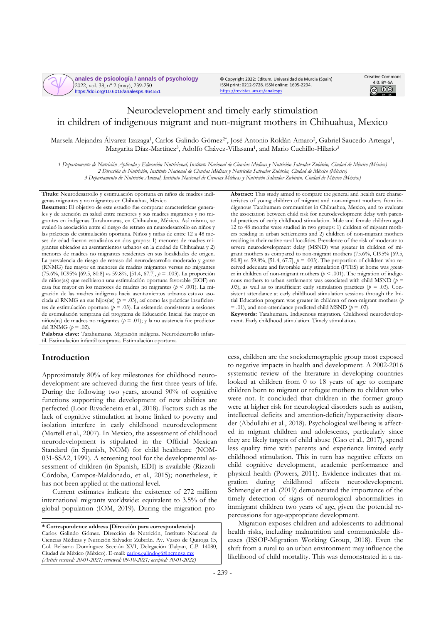**anales de psicología / annals of psychology** 2022, vol. 38, nº 2 (may), 239-250 https://doi.org/10.6018/analesps.464551

© Copyright 2022: Editum. Universidad de Murcia (Spain) ISSN print: 0212-9728. ISSN online: 1695-2294. <https://revistas.um.es/analesps>



# Neurodevelopment and timely early stimulation in children of indigenous migrant and non-migrant mothers in Chihuahua, Mexico

Marsela Alejandra Álvarez-Izazaga<sup>1</sup>, Carlos Galindo-Gómez<sup>2\*</sup>, José Antonio Roldán-Amaro<sup>2</sup>, Gabriel Saucedo-Arteaga<sup>1</sup>, Margarita Díaz-Martínez<sup>3</sup>, Adolfo Chávez-Villasana<sup>1</sup>, and Mario Cuchillo-Hilario<sup>3</sup>

*1 Departamento de Nutrición Aplicada y Educación Nutricional, Instituto Nacional de Ciencias Médicas y Nutrición Salvador Zubirán, Ciudad de México (México) 2 Dirección de Nutrición, Instituto Nacional de Ciencias Médicas y Nutrición Salvador Zubirán, Ciudad de México (México) 3 Departamento de Nutrición Animal, Instituto Nacional de Ciencias Médicas y Nutrición Salvador Zubirán, Ciudad de México (México)*

**Título:** Neurodesarrollo y estimulación oportuna en niños de madres indígenas migrantes y no migrantes en Chihuahua, México

**Resumen:** El objetivo de este estudio fue comparar características generales y de atención en salud entre menores y sus madres migrantes y no migrantes en indígenas Tarahumaras, en Chihuahua, México. Así mismo, se evaluó la asociación entre el riesgo de retraso en neurodesarrollo en niños y las prácticas de estimulación oportuna. Niños y niñas de entre 12 a 48 meses de edad fueron estudiados en dos grupos: 1) menores de madres migrantes ubicados en asentamientos urbanos en la ciudad de Chihuahua y 2) menores de madres no migrantes residentes en sus localidades de origen. La prevalencia de riesgo de retraso del neurodesarrollo moderado y grave (RNMG) fue mayor en menores de madres migrantes versus no migrantes (75.6%, IC95% [69.5, 80.8] vs 59.8%, [51.4, 67.7], *p* = .003). La proporción de niños(as) que recibieron una estimulación oportuna favorable (EOF) en casa fue mayor en los menores de madres no migrantes (*p* < .001). La migración de las madres indígenas hacia asentamientos urbanos estuvo asociada al RNMG en sus hijos(as) (*p* = .03), así como las prácticas insuficientes de estimulación oportuna ( $p = .03$ ). La asistencia consistente a sesiones de estimulación temprana del programa de Educación Inicial fue mayor en niños(as) de madres no migrantes (*p* = .01); y la no asistencia fue predictor del RNMG  $(p = .02)$ .

**Palabras clave:** Tarahumaras. Migración indígena. Neurodesarrollo infantil. Estimulación infantil temprana. Estimulación oportuna.

## **Introduction**

Approximately 80% of key milestones for childhood neurodevelopment are achieved during the first three years of life. During the following two years, around 90% of cognitive functions supporting the development of new abilities are perfected (Loor-Rivadeneira et al., 2018). Factors such as the lack of cognitive stimulation at home linked to poverty and isolation interfere in early childhood neurodevelopment (Martell et al., 2007). In Mexico, the assessment of childhood neurodevelopment is stipulated in the Official Mexican Standard (in Spanish, NOM) for child healthcare (NOM-031-SSA2, 1999). A screening tool for the developmental assessment of children (in Spanish, EDI) is available (Rizzoli-Córdoba, Campos-Maldonado, et al., 2015); nonetheless, it has not been applied at the national level.

Current estimates indicate the existence of 272 million international migrants worldwide: equivalent to 3.5% of the global population (IOM, 2019). During the migration pro-

**\* Correspondence address [Dirección para correspondencia]:** Carlos Galindo Gómez. Dirección de Nutrición, Instituto Nacional de Ciencias Médicas y Nutrición Salvador Zubirán. Av. Vasco de Quiroga 15, Col. Belisario Domínguez Sección XVI, Delegación Tlalpan, C.P. 14080, Ciudad de México (México). E-mail: [carlos.galindog@incmnsz.mx](mailto:carlos.galindog@incmnsz.mx) *(Article received: 20-01-2021; reviewed: 09-10-2021; accepted: 30-01-2022)*

**Abstract:** This study aimed to compare the general and health care characteristics of young children of migrant and non-migrant mothers from indigenous Tarahumara communities in Chihuahua, Mexico, and to evaluate the association between child risk for neurodevelopment delay with parental practices of early childhood stimulation. Male and female children aged 12 to 48 months were studied in two groups: 1) children of migrant mothers residing in urban settlements and 2) children of non-migrant mothers residing in their native rural localities. Prevalence of the risk of moderate to severe neurodevelopment delay (MSND) was greater in children of migrant mothers as compared to non-migrant mothers (75.6%, CI95% [69.5, 80.8] *vs.* 59.8%, [51.4, 67.7], *p* = .003). The proportion of children who received adequate and favorable early stimulation (FTES) at home was greater in children of non-migrant mothers ( $p < .001$ ). The migration of indigenous mothers to urban settlements was associated with child MSND ( $p =$ .03), as well as to insufficient early stimulation practices (*p* = .03). Consistent attendance at early childhood stimulation sessions through the Initial Education program was greater in children of non-migrant mothers (*p*   $=$  .01), and non-attendance predicted child MSND ( $p = .02$ ).

**Keywords:** Tarahumara. Indigenous migration. Childhood neurodevelopment. Early childhood stimulation. Timely stimulation.

cess, children are the sociodemographic group most exposed to negative impacts in health and development. A 2002-2016 systematic review of the literature in developing countries looked at children from 0 to 18 years of age to compare children born to migrant or refugee mothers to children who were not. It concluded that children in the former group were at higher risk for neurological disorders such as autism, intellectual deficits and attention-deficit/hyperactivity disorder (Abdullahi et al., 2018). Psychological wellbeing is affected in migrant children and adolescents, particularly since they are likely targets of child abuse (Gao et al., 2017), spend less quality time with parents and experience limited early childhood stimulation. This in turn has negative effects on child cognitive development, academic performance and physical health (Powers, 2011). Evidence indicates that migration during childhood affects neurodevelopment. Schmengler et al. (2019) demonstrated the importance of the timely detection of signs of neurological abnormalities in immigrant children two years of age, given the potential repercussions for age-appropriate development.

Migration exposes children and adolescents to additional health risks, including malnutrition and communicable diseases (ISSOP-Migration Working Group, 2018). Even the shift from a rural to an urban environment may influence the likelihood of child mortality. This was demonstrated in a na-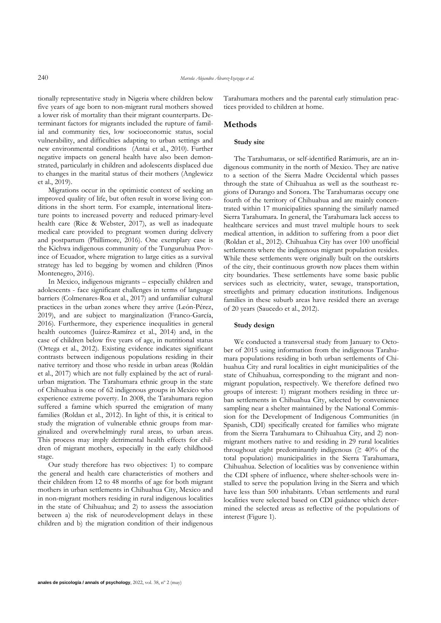tionally representative study in Nigeria where children below five years of age born to non-migrant rural mothers showed a lower risk of mortality than their migrant counterparts. Determinant factors for migrants included the rupture of familial and community ties, low socioeconomic status, social vulnerability, and difficulties adapting to urban settings and new environmental conditions (Antai et al., 2010). Further negative impacts on general health have also been demonstrated, particularly in children and adolescents displaced due to changes in the marital status of their mothers (Anglewicz et al., 2019).

Migrations occur in the optimistic context of seeking an improved quality of life, but often result in worse living conditions in the short term. For example, international literature points to increased poverty and reduced primary-level health care (Rice & Webster, 2017), as well as inadequate medical care provided to pregnant women during delivery and postpartum (Phillimore, 2016). One exemplary case is the Kichwa indigenous community of the Tunguruhua Province of Ecuador, where migration to large cities as a survival strategy has led to begging by women and children (Pinos Montenegro, 2016).

In Mexico, indigenous migrants – especially children and adolescents - face significant challenges in terms of language barriers (Colmenares-Roa et al., 2017) and unfamiliar cultural practices in the urban zones where they arrive (León-Pérez, 2019), and are subject to marginalization (Franco-García, 2016). Furthermore, they experience inequalities in general health outcomes (Juárez-Ramírez et al., 2014) and, in the case of children below five years of age, in nutritional status (Ortega et al., 2012). Existing evidence indicates significant contrasts between indigenous populations residing in their native territory and those who reside in urban areas (Roldán et al., 2017) which are not fully explained by the act of ruralurban migration. The Tarahumara ethnic group in the state of Chihuahua is one of 62 indigenous groups in Mexico who experience extreme poverty. In 2008, the Tarahumara region suffered a famine which spurred the emigration of many families (Roldan et al., 2012). In light of this, it is critical to study the migration of vulnerable ethnic groups from marginalized and overwhelmingly rural areas, to urban areas. This process may imply detrimental health effects for children of migrant mothers, especially in the early childhood stage.

Our study therefore has two objectives: 1) to compare the general and health care characteristics of mothers and their children from 12 to 48 months of age for both migrant mothers in urban settlements in Chihuahua City, Mexico and in non-migrant mothers residing in rural indigenous localities in the state of Chihuahua; and 2) to assess the association between a) the risk of neurodevelopment delays in these children and b) the migration condition of their indigenous Tarahumara mothers and the parental early stimulation practices provided to children at home.

## **Methods**

## **Study site**

The Tarahumaras, or self-identified Rarámuris, are an indigenous community in the north of Mexico. They are native to a section of the Sierra Madre Occidental which passes through the state of Chihuahua as well as the southeast regions of Durango and Sonora. The Tarahumaras occupy one fourth of the territory of Chihuahua and are mainly concentrated within 17 municipalities spanning the similarly named Sierra Tarahumara. In general, the Tarahumara lack access to healthcare services and must travel multiple hours to seek medical attention, in addition to suffering from a poor diet (Roldan et al., 2012). Chihuahua City has over 100 unofficial settlements where the indigenous migrant population resides. While these settlements were originally built on the outskirts of the city, their continuous growth now places them within city boundaries. These settlements have some basic public services such as electricity, water, sewage, transportation, streetlights and primary education institutions. Indigenous families in these suburb areas have resided there an average of 20 years (Saucedo et al., 2012).

#### **Study design**

We conducted a transversal study from January to October of 2015 using information from the indigenous Tarahumara populations residing in both urban settlements of Chihuahua City and rural localities in eight municipalities of the state of Chihuahua, corresponding to the migrant and nonmigrant population, respectively. We therefore defined two groups of interest: 1) migrant mothers residing in three urban settlements in Chihuahua City, selected by convenience sampling near a shelter maintained by the National Commission for the Development of Indigenous Communities (in Spanish, CDI) specifically created for families who migrate from the Sierra Tarahumara to Chihuahua City, and 2) nonmigrant mothers native to and residing in 29 rural localities throughout eight predominantly indigenous ( $\geq 40\%$  of the total population) municipalities in the Sierra Tarahumara, Chihuahua. Selection of localities was by convenience within the CDI sphere of influence, where shelter-schools were installed to serve the population living in the Sierra and which have less than 500 inhabitants. Urban settlements and rural localities were selected based on CDI guidance which determined the selected areas as reflective of the populations of interest (Figure 1).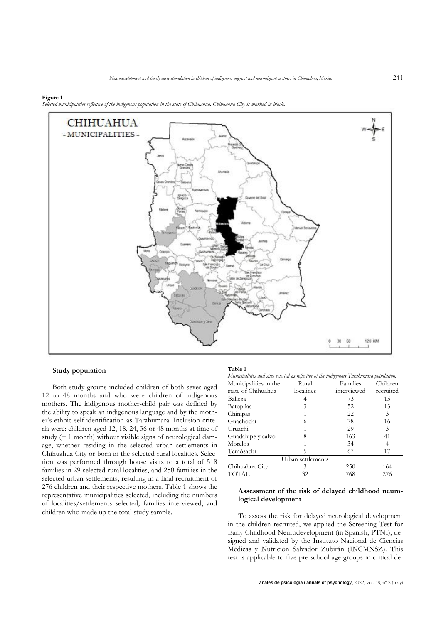#### **Figure 1**

*Selected municipalities reflective of the indigenous population in the state of Chihuahua. Chihuahua City is marked in black.*



## **Study population**

Both study groups included children of both sexes aged 12 to 48 months and who were children of indigenous mothers. The indigenous mother-child pair was defined by the ability to speak an indigenous language and by the mother's ethnic self-identification as Tarahumara. Inclusion criteria were: children aged 12, 18, 24, 36 or 48 months at time of study  $(\pm 1 \text{ month})$  without visible signs of neurological damage, whether residing in the selected urban settlements in Chihuahua City or born in the selected rural localities. Selection was performed through house visits to a total of 518 families in 29 selected rural localities, and 250 families in the selected urban settlements, resulting in a final recruitment of 276 children and their respective mothers. Table 1 shows the representative municipalities selected, including the numbers of localities/settlements selected, families interviewed, and children who made up the total study sample.

#### **Table 1** *Municipalities and sites selected as reflective of the indigenous Tarahumara population.*

| ιτική συμματικό από θερο θυσιούς αυτομένωσε την προσελήσηση τα αποτελεία μυματοποί |            |             |           |  |  |  |  |  |
|------------------------------------------------------------------------------------|------------|-------------|-----------|--|--|--|--|--|
| Municipalities in the                                                              | Rural      | Families    | Children  |  |  |  |  |  |
| state of Chihuahua                                                                 | localities | interviewed | recruited |  |  |  |  |  |
| Balleza                                                                            |            |             | 15        |  |  |  |  |  |
| Batopilas                                                                          |            | 52          | 13        |  |  |  |  |  |
| Chinipas                                                                           |            | つつ          |           |  |  |  |  |  |

| $-$ . We see the matrix $\sim$ |                   |     |     |
|--------------------------------|-------------------|-----|-----|
| Chinipas                       |                   | 22  | 3   |
| Guachochi                      |                   | 78  | 16  |
| Uruachi                        |                   | 29  | 3   |
| Guadalupe y calvo              |                   | 163 | 41  |
| Morelos                        |                   | 34  | 4   |
| Temósachi                      |                   | 67  | 17  |
|                                | Urban settlements |     |     |
| Chihuahua City                 |                   | 250 | 164 |
| <b>TOTAL</b>                   | 32                | 768 | 276 |

## **Assessment of the risk of delayed childhood neurological development**

To assess the risk for delayed neurological development in the children recruited, we applied the Screening Test for Early Childhood Neurodevelopment (in Spanish, PTNI), designed and validated by the Instituto Nacional de Ciencias Médicas y Nutrición Salvador Zubirán (INCMNSZ). This test is applicable to five pre-school age groups in critical de-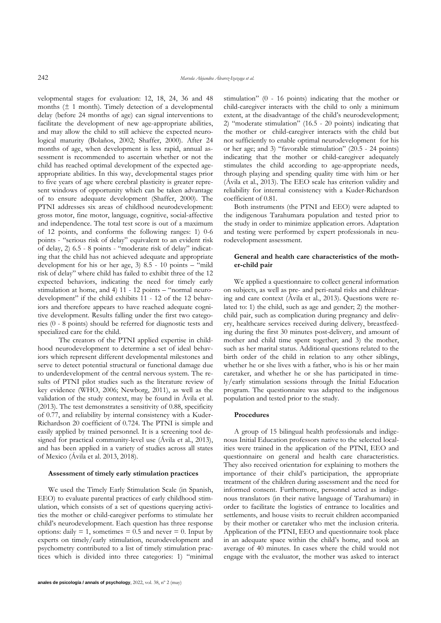velopmental stages for evaluation: 12, 18, 24, 36 and 48 months  $(\pm 1$  month). Timely detection of a developmental delay (before 24 months of age) can signal interventions to facilitate the development of new age-appropriate abilities, and may allow the child to still achieve the expected neurological maturity (Bolaños, 2002; Shaffer, 2000). After 24 months of age, when development is less rapid, annual assessment is recommended to ascertain whether or not the child has reached optimal development of the expected ageappropriate abilities. In this way, developmental stages prior to five years of age where cerebral plasticity is greater represent windows of opportunity which can be taken advantage of to ensure adequate development (Shaffer, 2000). The PTNI addresses six areas of childhood neurodevelopment: gross motor, fine motor, language, cognitive, social-affective and independence. The total test score is out of a maximum of 12 points, and conforms the following ranges: 1) 0-6 points - "serious risk of delay" equivalent to an evident risk of delay, 2) 6.5 - 8 points - "moderate risk of delay" indicating that the child has not achieved adequate and appropriate development for his or her age, 3) 8.5 - 10 points – "mild risk of delay" where child has failed to exhibit three of the 12 expected behaviors, indicating the need for timely early stimulation at home, and 4) 11 - 12 points – "normal neurodevelopment" if the child exhibits 11 - 12 of the 12 behaviors and therefore appears to have reached adequate cognitive development. Results falling under the first two categories (0 - 8 points) should be referred for diagnostic tests and specialized care for the child.

The creators of the PTNI applied expertise in childhood neurodevelopment to determine a set of ideal behaviors which represent different developmental milestones and serve to detect potential structural or functional damage due to underdevelopment of the central nervous system. The results of PTNI pilot studies such as the literature review of key evidence (WHO, 2006; Newborg, 2011), as well as the validation of the study context, may be found in Ávila et al. (2013). The test demonstrates a sensitivity of 0.88, specificity of 0.77, and reliability by internal consistency with a Kuder-Richardson 20 coefficient of 0.724. The PTNI is simple and easily applied by trained personnel. It is a screening tool designed for practical community-level use (Ávila et al., 2013), and has been applied in a variety of studies across all states of Mexico (Ávila et al. 2013, 2018).

#### **Assessment of timely early stimulation practices**

We used the Timely Early Stimulation Scale (in Spanish, EEO) to evaluate parental practices of early childhood stimulation, which consists of a set of questions querying activities the mother or child-caregiver performs to stimulate her child's neurodevelopment. Each question has three response options: daily  $= 1$ , sometimes  $= 0.5$  and never  $= 0$ . Input by experts on timely/early stimulation, neurodevelopment and psychometry contributed to a list of timely stimulation practices which is divided into three categories: 1) "minimal stimulation" (0 - 16 points) indicating that the mother or child-caregiver interacts with the child to only a minimum extent, at the disadvantage of the child's neurodevelopment; 2) "moderate stimulation" (16.5 - 20 points) indicating that the mother or child-caregiver interacts with the child but not sufficiently to enable optimal neurodevelopment for his or her age; and 3) "favorable stimulation" (20.5 - 24 points) indicating that the mother or child-caregiver adequately stimulates the child according to age-appropriate needs, through playing and spending quality time with him or her (Ávila et al., 2013). The EEO scale has criterion validity and reliability for internal consistency with a Kuder-Richardson coefficient of 0.81.

Both instruments (the PTNI and EEO) were adapted to the indigenous Tarahumara population and tested prior to the study in order to minimize application errors. Adaptation and testing were performed by expert professionals in neurodevelopment assessment.

### **General and health care characteristics of the mother-child pair**

We applied a questionnaire to collect general information on subjects, as well as pre- and peri-natal risks and childrearing and care context (Ávila et al., 2013). Questions were related to: 1) the child, such as age and gender; 2) the motherchild pair, such as complication during pregnancy and delivery, healthcare services received during delivery, breastfeeding during the first 30 minutes post-delivery, and amount of mother and child time spent together; and 3) the mother, such as her marital status. Additional questions related to the birth order of the child in relation to any other siblings, whether he or she lives with a father, who is his or her main caretaker, and whether he or she has participated in timely/early stimulation sessions through the Initial Education program. The questionnaire was adapted to the indigenous population and tested prior to the study.

#### **Procedures**

A group of 15 bilingual health professionals and indigenous Initial Education professors native to the selected localities were trained in the application of the PTNI, EEO and questionnaire on general and health care characteristics. They also received orientation for explaining to mothers the importance of their child's participation, the appropriate treatment of the children during assessment and the need for informed consent. Furthermore, personnel acted as indigenous translators (in their native language of Tarahumara) in order to facilitate the logistics of entrance to localities and settlements, and house visits to recruit children accompanied by their mother or caretaker who met the inclusion criteria. Application of the PTNI, EEO and questionnaire took place in an adequate space within the child's home, and took an average of 40 minutes. In cases where the child would not engage with the evaluator, the mother was asked to interact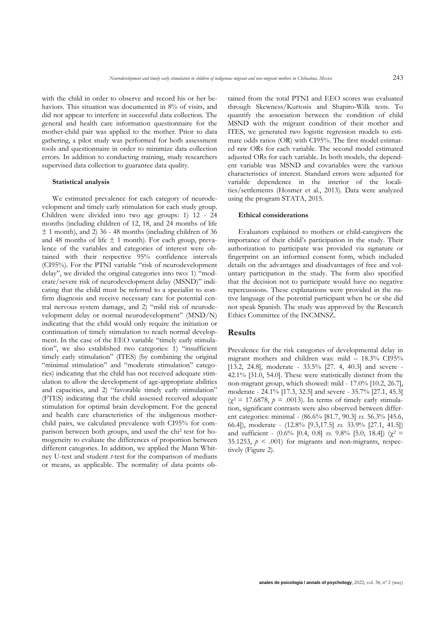with the child in order to observe and record his or her behaviors. This situation was documented in 8% of visits, and did not appear to interfere in successful data collection. The general and health care information questionnaire for the mother-child pair was applied to the mother. Prior to data gathering, a pilot study was performed for both assessment tools and questionnaire in order to minimize data collection errors. In addition to conducting training, study researchers supervised data collection to guarantee data quality.

#### **Statistical analysis**

We estimated prevalence for each category of neurodevelopment and timely early stimulation for each study group. Children were divided into two age groups: 1) 12 - 24 months (including children of 12, 18, and 24 months of life  $±$  1 month), and 2) 36 - 48 months (including children of 36 and 48 months of life  $\pm$  1 month). For each group, prevalence of the variables and categories of interest were obtained with their respective 95% confidence intervals (CI95%). For the PTNI variable "risk of neurodevelopment delay", we divided the original categories into two: 1) "moderate/severe risk of neurodevelopment delay (MSND)" indicating that the child must be referred to a specialist to confirm diagnosis and receive necessary care for potential central nervous system damage, and 2) "mild risk of neurodevelopment delay or normal neurodevelopment" (MND/N) indicating that the child would only require the initiation or continuation of timely stimulation to reach normal development. In the case of the EEO variable "timely early stimulation", we also established two categories: 1) "insufficient timely early stimulation" (ITES) (by combining the original "minimal stimulation" and "moderate stimulation" categories) indicating that the child has not received adequate stimulation to allow the development of age-appropriate abilities and capacities, and 2) "favorable timely early stimulation" (FTES) indicating that the child assessed received adequate stimulation for optimal brain development. For the general and health care characteristics of the indigenous motherchild pairs, we calculated prevalence with CI95% for comparison between both groups, and used the chi<sup>2</sup> test for homogeneity to evaluate the differences of proportion between different categories. In addition, we applied the Mann Whitney U-test and student *t*-test for the comparison of medians or means, as applicable. The normality of data points obtained from the total PTNI and EEO scores was evaluated through Skewness/Kurtosis and Shapiro-Wilk tests. To quantify the association between the condition of child MSND with the migrant condition of their mother and ITES, we generated two logistic regression models to estimate odds ratios (OR) with CI95%. The first model estimated raw ORs for each variable. The second model estimated adjusted ORs for each variable. In both models, the dependent variable was MSND and covariables were the various characteristics of interest. Standard errors were adjusted for variable dependence in the interior of the localities/settlements (Hosmer et al., 2013). Data were analyzed using the program STATA, 2015.

#### **Ethical considerations**

Evaluators explained to mothers or child-caregivers the importance of their child's participation in the study. Their authorization to participate was provided via signature or fingerprint on an informed consent form, which included details on the advantages and disadvantages of free and voluntary participation in the study. The form also specified that the decision not to participate would have no negative repercussions. These explanations were provided in the native language of the potential participant when he or she did not speak Spanish. The study was approved by the Research Ethics Committee of the INCMNSZ.

## **Results**

Prevalence for the risk categories of developmental delay in migrant mothers and children was: mild – 18.3% CI95% [13.2, 24.8], moderate - 33.5% [27. 4, 40.3] and severe - 42.1% [31.0, 54.0]. These were statistically distinct from the non-migrant group, which showed: mild - 17.0% [10.2, 26.7], moderate - 24.1% [17.3, 32.5] and severe - 35.7% [27.1, 45.3]  $(\chi^2 = 17.6878, p = .0013)$ . In terms of timely early stimulation, significant contrasts were also observed between different categories: minimal - (86.6% [81.7, 90.3] *vs*. 56.3% [45.6, 66.4]), moderate - (12.8% [9.3,17.5] *vs*. 33.9% [27.1, 41.5]) and sufficient -  $(0.6\%$  [0.4, 0.8] *vs.* 9.8% [5.0, 18.4]) ( $\chi^2$  = 35.1253,  $p \leq 0.001$  for migrants and non-migrants, respectively (Figure 2).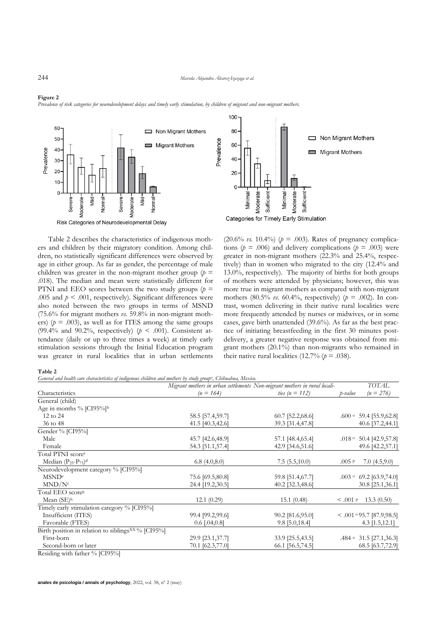100

#### *Prevalence of risk categories for neurodevelopment delays and timely early stimulation, by children of migrant and non-migrant mothers.*





Table 2 describes the characteristics of indigenous mothers and children by their migratory condition. Among children, no statistically significant differences were observed by age in either group. As far as gender, the percentage of male children was greater in the non-migrant mother group ( $p =$ .018). The median and mean were statistically different for PTNI and EEO scores between the two study groups  $(p =$ .005 and  $p \leq 0.001$ , respectively). Significant differences were also noted between the two groups in terms of MSND (75.6% for migrant mothers *vs.* 59.8% in non-migrant mothers) ( $p = .003$ ), as well as for ITES among the same groups (99.4% and 90.2%, respectively) ( $p < .001$ ). Consistent attendance (daily or up to three times a week) at timely early stimulation sessions through the Initial Education program was greater in rural localities that in urban settlements (20.6% *vs.* 10.4%) ( $p = .003$ ). Rates of pregnancy complications ( $p = .006$ ) and delivery complications ( $p = .003$ ) were greater in non-migrant mothers (22.3% and 25.4%, respectively) than in women who migrated to the city (12.4% and 13.0%, respectively). The majority of births for both groups of mothers were attended by physicians; however, this was more true in migrant mothers as compared with non-migrant mothers (80.5% *vs.* 60.4%, respectively) ( $p = .002$ ). In contrast, women delivering in their native rural localities were more frequently attended by nurses or midwives, or in some cases, gave birth unattended (39.6%). As far as the best practice of initiating breastfeeding in the first 30 minutes postdelivery, a greater negative response was obtained from migrant mothers (20.1%) than non-migrants who remained in their native rural localities (12.7%  $(p = .038)$ ).

#### **Table 2**

*General and health care characteristics of indigenous children and mothers by study group<sup>a</sup> , Chihuahua, Mexico.*

|                                                                | Migrant mothers in urban settlements Non-migrant mothers in rural locali- |                    | <b>TOTAL</b> |                                 |
|----------------------------------------------------------------|---------------------------------------------------------------------------|--------------------|--------------|---------------------------------|
| Characteristics                                                | $(n = 164)$                                                               | ties ( $n = 112$ ) | p-value      | $(n = 276)$                     |
| General (child)                                                |                                                                           |                    |              |                                 |
| Age in months % [CI95%]b                                       |                                                                           |                    |              |                                 |
| 12 to 24                                                       | 58.5 [57.4,59.7]                                                          | 60.7 [52.2,68.6]   |              | $.600 \circ 59.4$ [55.9,62.8]   |
| 36 to 48                                                       | 41.5 [40.3,42.6]                                                          | 39.3 [31.4,47.8]   |              | 40.6 [37.2,44.1]                |
| Gender % [CI95%]                                               |                                                                           |                    |              |                                 |
| Male                                                           | 45.7 [42.6,48.9]                                                          | 57.1 [48.4,65.4]   |              | $.018 \circ 50.4$ [42.9,57.8]   |
| Female                                                         | 54.3 [51.1,57.4]                                                          | 42.9 [34.6,51.6]   |              | 49.6 [42.2,57.1]                |
| Total PTNI score <sup>c</sup>                                  |                                                                           |                    |              |                                 |
| Median $(P_{25}-P_{75})$ <sup>d</sup>                          | 6.8(4.0,8.0)                                                              | 7.5(5.5,10.0)      | .005P        | 7.0(4.5,9.0)                    |
| Neurodevelopment category % [CI95%]                            |                                                                           |                    |              |                                 |
| MSND <sup>e</sup>                                              | 75.6 [69.5,80.8]                                                          | 59.8 [51.4,67.7]   |              | $.003 \circ 69.2$ [63.9,74.0]   |
| MND/N <sup>f</sup>                                             | 24.4 [19.2,30.5]                                                          | 40.2 [32.3,48.6]   |              | 30.8 [25.1,36.1]                |
| Total EEO score <sup>g</sup>                                   |                                                                           |                    |              |                                 |
| Mean $(SE)$ <sup>h</sup>                                       | 12.1(0.29)                                                                | 15.1(0.48)         | $< .001$ P   | 13.3(0.50)                      |
| Timely early stimulation category % [CI95%]                    |                                                                           |                    |              |                                 |
| Insufficient (ITES)                                            | 99.4 [99.2,99.6]                                                          | 90.2 [81.6,95.0]   |              | $< .001 \circ 95.7$ [87.9,98.5] |
| Favorable (FTES)                                               | $0.6$ [.04,0.8]                                                           | $9.8$ [5.0,18.4]   |              | $4.3$ [1.5,12.1]                |
| Birth position in relation to siblings <sup>XX %</sup> [CI95%] |                                                                           |                    |              |                                 |
| First-born                                                     | 29.9 [23.1,37.7]                                                          | 33.9 [25.5,43.5]   |              | $.484 \circ 31.5$ [27.1,36.3]   |
| Second-born or later                                           | 70.1 [62.3,77.0]                                                          | 66.1 [56.5,74.5]   |              | 68.5 [63.7,72.9]                |
|                                                                |                                                                           |                    |              |                                 |

Residing with father % [CI95%]

**Figure 2**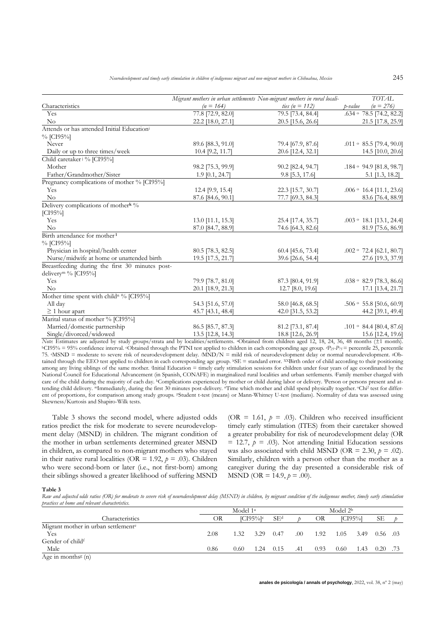|                                                        |                   | Migrant mothers in urban settlements Non-migrant mothers in rural locali- |         | <b>TOTAL</b>                   |
|--------------------------------------------------------|-------------------|---------------------------------------------------------------------------|---------|--------------------------------|
| Characteristics                                        | $(n = 164)$       | <i>ties</i> ( <i>n</i> = 112)                                             | p-value | $(n = 276)$                    |
| Yes                                                    | 77.8 [72.9, 82.0] | 79.5 [73.4, 84.4]                                                         |         | .634 $\circ$ 78.5 [74.2, 82.2] |
| No                                                     | 22.2 [18.0, 27.1] | 20.5 [15.6, 26.6]                                                         |         | 21.5 [17.8, 25.9]              |
| Attends or has attended Initial Education <sup>i</sup> |                   |                                                                           |         |                                |
| % [CI95%]                                              |                   |                                                                           |         |                                |
| Never                                                  | 89.6 [88.3, 91.0] | 79.4 [67.9, 87.6]                                                         |         | $.011 \circ 85.5$ [79.4, 90.0] |
| Daily or up to three times/week                        | 10.4 [9.2, 11.7]  | 20.6 [12.4, 32.1]                                                         |         | 14.5 [10.0, 20.6]              |
| Child caretaker <sup>j %</sup> [CI95%]                 |                   |                                                                           |         |                                |
| Mother                                                 | 98.2 [75.3, 99.9] | 90.2 [82.4, 94.7]                                                         |         | $.184 \circ 94.9$ [81.8, 98.7] |
| Father/Grandmother/Sister                              | $1.9$ [0.1, 24.7] | 9.8 [5.3, 17.6]                                                           |         | 5.1 [1.3, 18.2]                |
| Pregnancy complications of mother % [CI95%]            |                   |                                                                           |         |                                |
| Yes                                                    | 12.4 [9.9, 15.4]  | 22.3 [15.7, 30.7]                                                         |         | $.006 \circ 16.4$ [11.1, 23.6] |
| No                                                     | 87.6 [84.6, 90.1] | 77.7 [69.3, 84.3]                                                         |         | 83.6 [76.4, 88.9]              |
| Delivery complications of mother <sup>k %</sup>        |                   |                                                                           |         |                                |
| $[CI95\%]$                                             |                   |                                                                           |         |                                |
| Yes                                                    | 13.0 [11.1, 15.3] | 25.4 [17.4, 35.7]                                                         |         | $.003 \circ 18.1$ [13.1, 24.4] |
| No                                                     | 87.0 [84.7, 88.9] | 74.6 [64.3, 82.6]                                                         |         | 81.9 [75.6, 86.9]              |
| Birth attendance for mother <sup>1</sup>               |                   |                                                                           |         |                                |
| % [CI95%]                                              |                   |                                                                           |         |                                |
| Physician in hospital/health center                    | 80.5 [78.3, 82.5] | 60.4 [45.6, 73.4]                                                         |         | $.002 \circ 72.4$ [62.1, 80.7] |
| Nurse/midwife at home or unattended birth              | 19.5 [17.5, 21.7] | 39.6 [26.6, 54.4]                                                         |         | 27.6 [19.3, 37.9]              |
| Breastfeeding during the first 30 minutes post-        |                   |                                                                           |         |                                |
| delivery <sup>m %</sup> [CI95%]                        |                   |                                                                           |         |                                |
| Yes                                                    | 79.9 [78.7, 81.0] | 87.3 [80.4, 91.9]                                                         |         | .038 $\circ$ 82.9 [78.3, 86.6] |
| No                                                     | 20.1 [18.9, 21.3] | 12.7 [8.0, 19.6]                                                          |         | 17.1 [13.4, 21.7]              |
| Mother time spent with childn % [CI95%]                |                   |                                                                           |         |                                |
| All day                                                | 54.3 [51.6, 57.0] | 58.0 [46.8, 68.5]                                                         |         | $.506 \circ 55.8$ [50.6, 60.9] |
| $\geq$ 1 hour apart                                    | 45.7 [43.1, 48.4] | 42.0 [31.5, 53.2]                                                         |         | 44.2 [39.1, 49.4]              |
| Marital status of mother % [CI95%]                     |                   |                                                                           |         |                                |
| Married/domestic partnership                           | 86.5 [85.7, 87.3] | 81.2 [73.1, 87.4]                                                         |         | .101 $\circ$ 84.4 [80.4, 87.6] |
| Single/divorced/widowed                                | 13.5 [12.8, 14.3] | 18.8 [12.6, 26.9]                                                         |         | 15.6 [12.4, 19.6]              |

*Note*: Estimates are adjusted by study groups/strata and by localities/settlements. aObtained from children aged 12, 18, 24, 36, 48 months (±1 month). <sup>b</sup>CI95% = 95% confidence interval. cObtained through the PTNI test applied to children in each corresponding age group. *dP25-P75* = percentile 25, percentile 75. <sup>e</sup>MSND = moderate to severe risk of neurodevelopment delay. *f*MND/N = mild risk of neurodevelopment delay or normal neurodevelopment. gObtained through the EEO test applied to children in each corresponding age group. hSE = standard error. XXBirth order of child according to their positioning among any living siblings of the same mother. Initial Education = timely early stimulation sessions for children under four years of age coordinated by the National Council for Educational Advancement (in Spanish, CONAFE) in marginalized rural localities and urban settlements. Family member charged with care of the child during the majority of each day. kComplications experienced by mother or child during labor or delivery. lPerson or persons present and attending child delivery. <sup>m</sup>Immediately, during the first 30 minutes post-delivery. <sup>n</sup>Time which mother and child spend physically together. <sup>o</sup>Chi<sup>2</sup> test for different of proportions, for comparison among study groups. PStudent t-test (means) or Mann-Whitney U-test (medians). Normality of data was assessed using Skewness/Kurtosis and Shapiro-Wilk tests.

Table 3 shows the second model, where adjusted odds ratios predict the risk for moderate to severe neurodevelopment delay (MSND) in children. The migrant condition of the mother in urban settlements determined greater MSND in children, as compared to non-migrant mothers who stayed in their native rural localities (OR = 1.92,  $p = .03$ ). Children who were second-born or later (i.e., not first-born) among their siblings showed a greater likelihood of suffering MSND (OR = 1.61,  $p = .03$ ). Children who received insufficient timely early stimulation (ITES) from their caretaker showed a greater probability for risk of neurodevelopment delay (OR  $= 12.7, p = .03$ ). Not attending Initial Education sessions was also associated with child MSND (OR = 2.30,  $p = .02$ ). Similarly, children with a person other than the mother as a caregiver during the day presented a considerable risk of MSND (OR = 14.9,  $p = .00$ ).

#### **Table 3**

Raw and adjusted odds ratios (OR) for moderate to severe risk of neurodevelopment delay (MSND) in children, by migrant condition of the indigenous mother, timely early stimulation *practices at home and relevant characteristics.*

|                                                 |      | Model 1 <sup>a</sup> |                        |                 |     | Model $2b$ |      |        |            |  |  |
|-------------------------------------------------|------|----------------------|------------------------|-----------------|-----|------------|------|--------|------------|--|--|
| Characteristics                                 | ЭR   |                      | $ICI95\%$ <sup>c</sup> | SE <sup>d</sup> |     | OR         |      | ICI95% | SЕ         |  |  |
| Migrant mother in urban settlement <sup>e</sup> |      |                      |                        |                 |     |            |      |        |            |  |  |
| Yes                                             | 2.08 | 1.32.                | 3.29                   | 0.47            | .00 | 1.92       | 1.05 | 3.49   | $0.56$ .03 |  |  |
| Gender of childf                                |      |                      |                        |                 |     |            |      |        |            |  |  |
| Male                                            | 0.86 | 0.60                 | 1.24                   | 0.15            | .41 | 0.93       | 0.60 | 1.43   | 0.20       |  |  |
| $A$ go in month $e^{g}(n)$                      |      |                      |                        |                 |     |            |      |        |            |  |  |

Age in months<sup>g</sup> (n)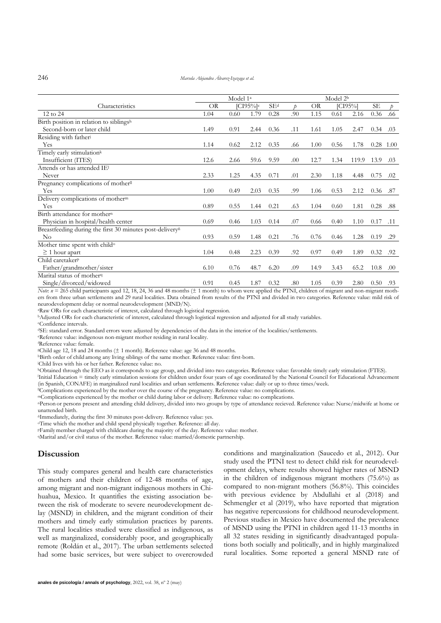|                                                                      | Model 1 <sup>a</sup> |      |                            |      | Model 2 <sup>b</sup> |           |      |            |             |               |  |  |
|----------------------------------------------------------------------|----------------------|------|----------------------------|------|----------------------|-----------|------|------------|-------------|---------------|--|--|
| Characteristics                                                      | OR                   |      | $\left[$ CI95% $\right]$ c | SEd  | Þ                    | <b>OR</b> |      | $[CI95\%]$ | <b>SE</b>   | $\mathcal{D}$ |  |  |
| 12 to 24                                                             | 1.04                 | 0.60 | 1.79                       | 0.28 | .90                  | 1.15      | 0.61 | 2.16       | 0.36        | .66           |  |  |
| Birth position in relation to siblingsh                              |                      |      |                            |      |                      |           |      |            |             |               |  |  |
| Second-born or later child                                           | 1.49                 | 0.91 | 2.44                       | 0.36 | .11                  | 1.61      | 1.05 | 2.47       | 0.34        | .03           |  |  |
| Residing with father                                                 |                      |      |                            |      |                      |           |      |            |             |               |  |  |
| Yes                                                                  | 1.14                 | 0.62 | 2.12                       | 0.35 | .66                  | 1.00      | 0.56 | 1.78       | $0.28$ 1.00 |               |  |  |
| Timely early stimulation <sup>k</sup>                                |                      |      |                            |      |                      |           |      |            |             |               |  |  |
| Insufficient (ITES)                                                  | 12.6                 | 2.66 | 59.6                       | 9.59 | .00                  | 12.7      | 1.34 | 119.9      | 13.9        | .03           |  |  |
| Attends or has attended IE <sup>1</sup>                              |                      |      |                            |      |                      |           |      |            |             |               |  |  |
| Never                                                                | 2.33                 | 1.25 | 4.35                       | 0.71 | .01                  | 2.30      | 1.18 | 4.48       | 0.75        | .02           |  |  |
| Pregnancy complications of mother <sup>ll</sup>                      |                      |      |                            |      |                      |           |      |            |             |               |  |  |
| Yes                                                                  | 1.00                 | 0.49 | 2.03                       | 0.35 | .99                  | 1.06      | 0.53 | 2.12       | 0.36        | .87           |  |  |
| Delivery complications of mother <sup>m</sup>                        |                      |      |                            |      |                      |           |      |            |             |               |  |  |
| Yes                                                                  | 0.89                 | 0.55 | 1.44                       | 0.21 | .63                  | 1.04      | 0.60 | 1.81       | 0.28        | .88           |  |  |
| Birth attendance for mother <sup>n</sup>                             |                      |      |                            |      |                      |           |      |            |             |               |  |  |
| Physician in hospital/health center                                  | 0.69                 | 0.46 | 1.03                       | 0.14 | .07                  | 0.66      | 0.40 | 1.10       | 0.17        | .11           |  |  |
| Breastfeeding during the first 30 minutes post-delivery <sup>ñ</sup> |                      |      |                            |      |                      |           |      |            |             |               |  |  |
| No.                                                                  | 0.93                 | 0.59 | 1.48                       | 0.21 | .76                  | 0.76      | 0.46 | 1.28       | 0.19        | .29           |  |  |
| Mother time spent with child <sup>o</sup>                            |                      |      |                            |      |                      |           |      |            |             |               |  |  |
| $\geq 1$ hour apart                                                  | 1.04                 | 0.48 | 2.23                       | 0.39 | .92                  | 0.97      | 0.49 | 1.89       | 0.32        | .92           |  |  |
| Child caretaker <sup>p</sup>                                         |                      |      |                            |      |                      |           |      |            |             |               |  |  |
| Father/grandmother/sister                                            | 6.10                 | 0.76 | 48.7                       | 6.20 | .09                  | 14.9      | 3.43 | 65.2       | 10.8        | .00           |  |  |
| Marital status of mother <sup>q</sup>                                |                      |      |                            |      |                      |           |      |            |             |               |  |  |
| Single/divorced/widowed                                              | 0.91                 | 0.45 | 1.87                       | 0.32 | .80                  | 1.05      | 0.39 | 2.80       | 0.50        | .93           |  |  |

*Note*:  $n = 265$  child participants aged 12, 18, 24, 36 and 48 months ( $\pm$  1 month) to whom were applied the PTNI, children of migrant and non-migrant mothers from three urban settlements and 29 rural localities. Data obtained from results of the PTNI and divided in two categories. Reference value: mild risk of neurodevelopment delay or normal neurodevelopment (MND/N).

<sup>a</sup>Raw ORs for each characteristic of interest, calculated through logistical regression.

<sup>b</sup>Adjusted ORs for each characteristic of interest, calculated through logistical regression and adjusted for all study variables.

<sup>c</sup>Confidence intervals.

<sup>d</sup>SE: standard error. Standard errors were adjusted by dependencies of the data in the interior of the localities/settlements.

<sup>e</sup>Reference value: indigenous non-migrant mother residing in rural locality.

<sup>f</sup>Reference value: female.

<sup>8</sup>Child age 12, 18 and 24 months  $(\pm 1$  month). Reference value: age 36 and 48 months.

hBirth order of child among any living siblings of the same mother. Reference value: first-born.

<sup>j</sup>Child lives with his or her father. Reference value: no.

<sup>k</sup>Obtained through the EEO as it corresponds to age group, and divided into two categories. Reference value: favorable timely early stimulation (FTES).

Initial Education = timely early stimulation sessions for children under four years of age coordinated by the National Council for Educational Advancement (in Spanish, CONAFE) in marginalized rural localities and urban settlements. Reference value: daily or up to three times/week.

llComplications experienced by the mother over the course of the pregnancy. Reference value: no complications.

<sup>m</sup>Complications experienced by the mother or child during labor or delivery. Reference value: no complications.

<sup>n</sup>Person or persons present and attending child delivery, divided into two groups by type of attendance recieved. Reference value: Nurse/midwife at home or unattended birth.

<sup>ñ</sup>Immediately, during the first 30 minutes post-delivery. Reference value: yes.

<sup>o</sup>Time which the mother and child spend physically together. Reference: all day.

<sup>p</sup>Familymember charged with childcare during the majority of the day. Reference value: mother.

<sup>q</sup>Marital and/or civil status of the mother. Reference value: married/domestic partnership.

## **Discussion**

This study compares general and health care characteristics of mothers and their children of 12-48 months of age, among migrant and non-migrant indigenous mothers in Chihuahua, Mexico. It quantifies the existing association between the risk of moderate to severe neurodevelopment delay (MSND) in children, and the migrant condition of their mothers and timely early stimulation practices by parents. The rural localities studied were classified as indigenous, as well as marginalized, considerably poor, and geographically remote (Roldán et al., 2017). The urban settlements selected had some basic services, but were subject to overcrowded conditions and marginalization (Saucedo et al., 2012). Our study used the PTNI test to detect child risk for neurodevelopment delays, where results showed higher rates of MSND in the children of indigenous migrant mothers (75.6%) as compared to non-migrant mothers (56.8%). This coincides with previous evidence by Abdullahi et al (2018) and Schmengler et al (2019), who have reported that migration has negative repercussions for childhood neurodevelopment. Previous studies in Mexico have documented the prevalence of MSND using the PTNI in children aged 11-13 months in all 32 states residing in significantly disadvantaged populations both socially and politically, and in highly marginalized rural localities. Some reported a general MSND rate of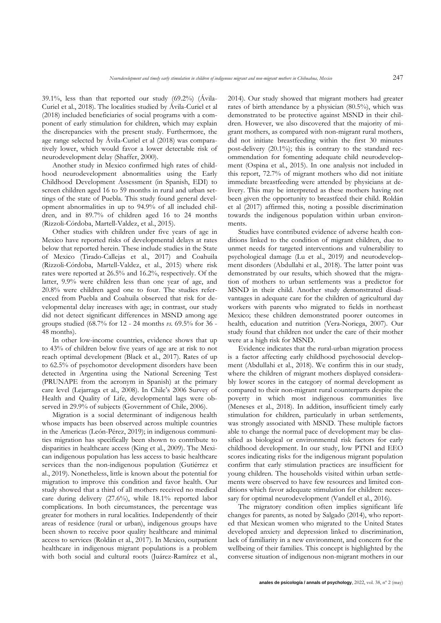39.1%, less than that reported our study (69.2%) (Ávila-Curiel et al., 2018). The localities studied by Ávila-Curiel et al (2018) included beneficiaries of social programs with a component of early stimulation for children, which may explain the discrepancies with the present study. Furthermore, the age range selected by Ávila-Curiel et al (2018) was comparatively lower, which would favor a lower detectable risk of neurodevelopment delay (Shaffer, 2000).

Another study in Mexico confirmed high rates of childhood neurodevelopment abnormalities using the Early Childhood Development Assessment (in Spanish, EDI) to screen children aged 16 to 59 months in rural and urban settings of the state of Puebla. This study found general development abnormalities in up to 94.9% of all included children, and in 89.7% of children aged 16 to 24 months (Rizzoli-Córdoba, Martell-Valdez, et al., 2015).

Other studies with children under five years of age in Mexico have reported risks of developmental delays at rates below that reported herein. These include studies in the State of Mexico (Tirado-Callejas et al., 2017) and Coahuila (Rizzoli-Córdoba, Martell-Valdez, et al., 2015) where risk rates were reported at 26.5% and 16.2%, respectively. Of the latter, 9.9% were children less than one year of age, and 20.8% were children aged one to four. The studies referenced from Puebla and Coahuila observed that risk for developmental delay increases with age; in contrast, our study did not detect significant differences in MSND among age groups studied (68.7% for 12 - 24 months *vs.* 69.5% for 36 - 48 months).

In other low-income countries, evidence shows that up to 43% of children below five years of age are at risk to not reach optimal development (Black et al., 2017). Rates of up to 62.5% of psychomotor development disorders have been detected in Argentina using the National Screening Test (PRUNAPE from the acronym in Spanish) at the primary care level (Lejarraga et al., 2008). In Chile's 2006 Survey of Health and Quality of Life, developmental lags were observed in 29.9% of subjects (Government of Chile, 2006).

Migration is a social determinant of indigenous health whose impacts has been observed across multiple countries in the Americas (León-Pérez, 2019); in indigenous communities migration has specifically been shown to contribute to disparities in healthcare access (King et al., 2009). The Mexican indigenous population has less access to basic healthcare services than the non-indigenous population (Gutiérrez et al., 2019). Nonetheless, little is known about the potential for migration to improve this condition and favor health. Our study showed that a third of all mothers received no medical care during delivery (27.6%), while 18.1% reported labor complications. In both circumstances, the percentage was greater for mothers in rural localities. Independently of their areas of residence (rural or urban), indigenous groups have been shown to receive poor quality healthcare and minimal access to services (Roldán et al., 2017). In Mexico, outpatient healthcare in indigenous migrant populations is a problem with both social and cultural roots (Juárez-Ramírez et al., 2014). Our study showed that migrant mothers had greater rates of birth attendance by a physician (80.5%), which was demonstrated to be protective against MSND in their children. However, we also discovered that the majority of migrant mothers, as compared with non-migrant rural mothers, did not initiate breastfeeding within the first 30 minutes post-delivery (20.1%); this is contrary to the standard recommendation for fomenting adequate child neurodevelopment (Ospina et al., 2015). In one analysis not included in this report, 72.7% of migrant mothers who did not initiate immediate breastfeeding were attended by physicians at delivery. This may be interpreted as these mothers having not been given the opportunity to breastfeed their child. Roldán et al (2017) affirmed this, noting a possible discrimination towards the indigenous population within urban environments.

Studies have contributed evidence of adverse health conditions linked to the condition of migrant children, due to unmet needs for targeted interventions and vulnerability to psychological damage (Lu et al., 2019) and neurodevelopment disorders (Abdullahi et al., 2018). The latter point was demonstrated by our results, which showed that the migration of mothers to urban settlements was a predictor for MSND in their child. Another study demonstrated disadvantages in adequate care for the children of agricultural day workers with parents who migrated to fields in northeast Mexico; these children demonstrated poorer outcomes in health, education and nutrition (Vera-Noriega, 2007)*.* Our study found that children not under the care of their mother were at a high risk for MSND.

Evidence indicates that the rural-urban migration process is a factor affecting early childhood psychosocial development (Abdullahi et al., 2018). We confirm this in our study, where the children of migrant mothers displayed considerably lower scores in the category of normal development as compared to their non-migrant rural counterparts despite the poverty in which most indigenous communities live (Meneses et al., 2018). In addition, insufficient timely early stimulation for children, particularly in urban settlements, was strongly associated with MSND. These multiple factors able to change the normal pace of development may be classified as biological or environmental risk factors for early childhood development. In our study, low PTNI and EEO scores indicating risks for the indigenous migrant population confirm that early stimulation practices are insufficient for young children. The households visited within urban settlements were observed to have few resources and limited conditions which favor adequate stimulation for children: necessary for optimal neurodevelopment (Vandell et al., 2016).

The migratory condition often implies significant life changes for parents, as noted by Salgado (2014), who reported that Mexican women who migrated to the United States developed anxiety and depression linked to discrimination, lack of familiarity in a new environment, and concern for the wellbeing of their families. This concept is highlighted by the converse situation of indigenous non-migrant mothers in our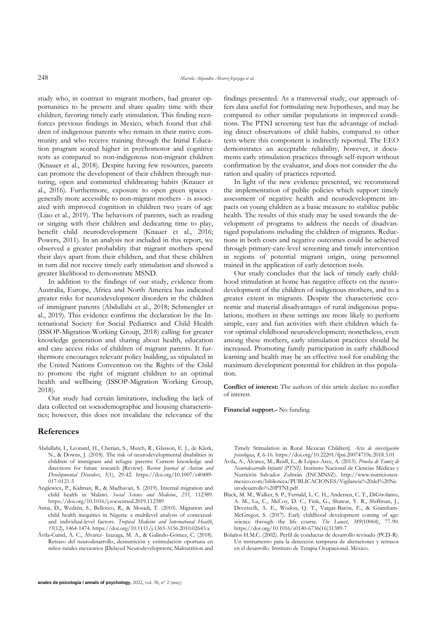study who, in contrast to migrant mothers, had greater opportunities to be present and share quality time with their children, favoring timely early stimulation. This finding reenforces previous findings in Mexico, which found that children of indigenous parents who remain in their native community and who receive training through the Initial Education program scored higher in psychomotor and cognitive tests as compared to non-indigenous non-migrant children (Knauer et al., 2018). Despite having few resources, parents can promote the development of their children through nurturing, open and committed childrearing habits (Knauer et al., 2016). Furthermore, exposure to open green spaces generally more accessible to non-migrant mothers - is associated with improved cognition in children two years of age (Liao et al., 2019). The behaviors of parents, such as reading or singing with their children and dedicating time to play, benefit child neurodevelopment (Knauer et al., 2016; Powers, 2011). In an analysis not included in this report, we observed a greater probability that migrant mothers spend their days apart from their children, and that these children in turn did not receive timely early stimulation and showed a greater likelihood to demonstrate MSND.

In addition to the findings of our study, evidence from Australia, Europe, Africa and North America has indicated greater risks for neurodevelopment disorders in the children of immigrant parents (Abdullahi et al., 2018; Schmengler et al., 2019). This evidence confirms the declaration by the International Society for Social Pediatrics and Child Health (ISSOP-Migration Working Group, 2018) calling for greater knowledge generation and sharing about health, education and care access risks of children of migrant parents. It furthermore encourages relevant policy building, as stipulated in the United Nations Convention on the Rights of the Child to promote the right of migrant children to an optimal health and wellbeing (ISSOP-Migration Working Group, 2018).

Our study had certain limitations, including the lack of data collected on sociodemographic and housing characteristics; however, this does not invalidate the relevance of the

## **References**

- Abdullahi, I., Leonard, H., Cherian, S., Mutch, R., Glasson, E. J., de Klerk, N., & Downs, J. (2018). The risk of neurodevelopmental disabilities in children of immigrant and refugee parents: Current knowledge and directions for future research [Review]. *Review Journal of Autism and Developmental Disorders*, *5*(1), 29-42. https://doi.org/10.1007/s40489- 017-0121-5
- Anglewicz, P., Kidman, R., & Madhavan, S. (2019). Internal migration and child health in Malawi. *Social Science and Medicine*, *235*, 112389. https://doi.org/10.1016/j.socscimed.2019.112389
- Antai, D., Wedrén, S., Bellocco, R., & Moradi, T. (2010). Migration and child health inequities in Nigeria: a multilevel analysis of contextualand individual-level factors. *Tropical Medicine and International Health*, *15*(12), 1464-1474. https://doi.org/10.1111/j.1365-3156.2010.02643.x
- Ávila-Curiel, A. C., Álvarez- Izazaga, M. A., & Galindo-Gómez, C. (2018). Retraso del neurodesarrollo, desnutrición y estimulación oportuna en niños rurales mexicanos [Delayed Neurodevelopment, Malnutrition and

findings presented. As a transversal study, our approach offers data useful for formulating new hypotheses, and may be compared to other similar populations in improved conditions. The PTNI screening test has the advantage of including direct observations of child habits, compared to other tests where this component is indirectly reported. The EEO demonstrates an acceptable reliability, however, it documents early stimulation practices through self-report without confirmation by the evaluator, and does not consider the duration and quality of practices reported.

In light of the new evidence presented, we recommend the implementation of public policies which support timely assessment of negative health and neurodevelopment impacts on young children as a basic measure to stabilize public health. The results of this study may be used towards the development of programs to address the needs of disadvantaged populations including the children of migrants. Reductions in both costs and negative outcomes could be achieved through primary-care-level screening and timely intervention in regions of potential migrant origin, using personnel trained in the application of early detection tools.

Our study concludes that the lack of timely early childhood stimulation at home has negative effects on the neurodevelopment of the children of indigenous mothers, and to a greater extent in migrants. Despite the characteristic economic and material disadvantages of rural indigenous populations, mothers in these settings are more likely to perform simple, easy and fun activities with their children which favor optimal childhood neurodevelopment; nonetheless, even among these mothers, early stimulation practices should be increased. Promoting family participation in early childhood learning and health may be an effective tool for enabling the maximum development potential for children in this population.

**Conflict of interest:** The authors of this article declare no conflict of interest.

**Financial support.-** No funding.

Timely Stimulation in Rural Mexican Children]. *Acta de investigación psicológica*, *8*, 6-16. https://doi.org/10.22201/fpsi.20074719e.2018.3.01

- Ávila, A., Álvarez, M., Reidl, L., & López-Arce, A. (2013). *Prueba de Tamiz de Neurodesarrollo Infantil (PTNI)*. Instituto Nacional de Ciencias Médicas y Nutrición Salvador Zubirán (INCMNSZ). http://www.nutricionenmexico.com/biblioteca/PUBLICACIONES/Vigilancia%20del%20Ne urodesarrollo%20PTNI.pdf
- Black, M. M., Walker, S. P., Fernald, L. C. H., Andersen, C. T., DiGirolamo, A. M., Lu, C., McCoy, D. C., Fink, G., Shawar, Y. R., Shiffman, J., Devercelli, A. E., Wodon, Q. T., Vargas-Barón, E., & Grantham-McGregor, S. (2017). Early childhood development coming of age: science through the life course. *The Lancet*, *389*(10064), 77-90. https://doi.org/10.1016/s0140-6736(16)31389-7
- Bolaños H.M.C. (2002). Perfil de conductas de desarrollo revisado (PCD-R). Un instrumento para la detección temprana de alteraciones y retrasos en el desarrollo. Instituto de Terapia Ocupacional. México.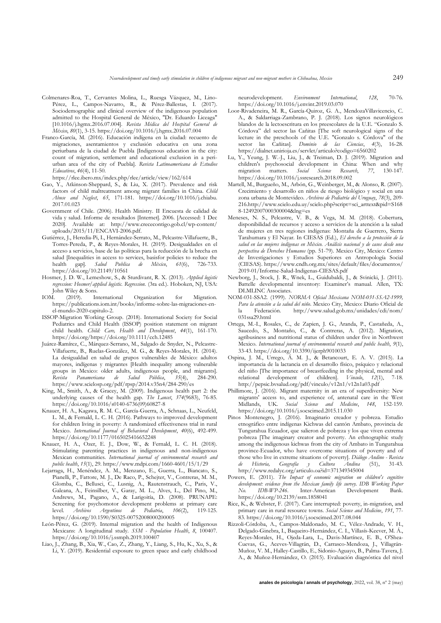- Colmenares-Roa, T., Cervantes Molina, L., Ruesga Vázquez, M., Lino-Pérez, L., Campos-Navarro, R., & Pérez-Ballestas, I. (2017). Sociodemographic and clinical overview of the indigenous population admitted to the Hospital General de México, "Dr. Eduardo Liceaga" [10.1016/j.hgmx.2016.07.004]. *Revista Médica del Hospital General de México*, *80*(1), 3-15. https://doi.org/10.1016/j.hgmx.2016.07.004
- Franco-García, M. (2016). Educación indígena en la ciudad: recuento de migraciones, asentamientos y exclusión educativa en una zona periurbana de la ciudad de Puebla [Indigenous education in the city: count of migration, settlement and educational exclusion in a periurban area of the city of Puebla]. *Revista Latinoamericana de Estudios Educativos*, *46*(4), 11-50.

https://rlee.ibero.mx/index.php/rlee/article/view/162/614

- Gao, Y., Atkinson-Sheppard, S., & Liu, X. (2017). Prevalence and risk factors of child maltreatment among migrant families in China. *Child Abuse and Neglect*, *65*, 171-181. https://doi.org/10.1016/j.chiabu. 2017.01.023
- Government of Chile. (2006). Health Ministry. II Encuesta de calidad de vida y salud. Informe de resultados [Internet]. 2006. [Accessed: 1 Dec 2020]. Available at: http://www.crececontigo.gob.cl/wp-content/ uploads/2015/11/ENCAVI-2006.pdf.
- Gutiérrez, J., Heredia-Pi, I., Hernández-Serrato, M., Pelcastre-Villafuerte, B., Torres-Pereda, P., & Reyes-Morales, H. (2019). Desigualdades en el acceso a servicios, base de las políticas para la reducción de la brecha en salud [Inequalities in access to services, basisfor policies to reduce the health gapl. Salud Publica de México,  $61(6)$ , 726-733. health gap]. *Salud Publica de México*, *61*(6), 726-733. https://doi.org/10.21149/10561
- Hosmer, J. D. W., Lemeshow, S., & Sturdivant, R. X. (2013). *Applied logistic regression: Hosmer/applied logistic. Regression.* (3ra ed.). Hoboken, NJ, USA: John Wiley & Sons.<br>IOM (2019) In
- (2019). International Organization for Migration. https://publications.iom.int/books/informe-sobre-las-migraciones-enel-mundo-2020-capitulo-2.
- ISSOP-Migration Working Group. (2018). International Society for Social Pediatrics and Child Health (ISSOP) position statement on migrant child health. *Child: Care, Health and Development*, *44*(1), 161-170. https://doi.org/https://doi.org/10.1111/cch.12485
- Juárez-Ramírez, C., Márquez-Serrano, M., Salgado de Snyder, N., Pelcastre-Villafuerte, B., Ruelas-González, M. G., & Reyes-Morales, H. (2014). La desigualdad en salud de grupos vulnerables de México: adultos mayores, indígenas y migrantes [Health inequality among vulnerable groups in Mexico: older adults, indigenous people, and migrants].<br>Revista Panamericana de Salud Pública, 35(4), 284-290. *Revista Panamericana de Salud Pública*, *35*(4), 284-290. https://www.scielosp.org/pdf/rpsp/2014.v35n4/284-290/es
- King, M., Smith, A., & Gracey, M. (2009). Indigenous health part 2: the underlying causes of the health gap. *The Lancet*, *374*(9683), 76-85. https://doi.org/10.1016/s0140-6736(09)60827-8
- Knauer, H. A., Kagawa, R. M. C., García-Guerra, A., Schnaas, L., Neufeld, L. M., & Fernald, L. C. H. (2016). Pathways to improved development for children living in poverty: A randomized effectiveness trial in rural Mexico. *International Journal of Behavioral Development*, *40*(6), 492-499. https://doi.org/10.1177/0165025416652248
- Knauer, H. A., Ozer, E. J., Dow, W., & Fernald, L. C. H. (2018). Stimulating parenting practices in indigenous and non-indigenous Mexican communities. *International journal of environmental research and public health*, *15*(1), 29. https://www.mdpi.com/1660-4601/15/1/29
- Lejarraga, H., Menéndez, A. M., Menzano, E., Guerra, L., Biancato, S., Pianelli, P., Fattore, M. J., De Raco, P., Schejter, V., Contreras, M. M., Glomba, C., Bellusci, C., Lusnig, A., Rautenstrauch, C., Paris, V., Galeana, A., Feinsilber, V., Garay, M. L., Alves, L., Del Pino, M., Andrews, M., Pagano, A., & Larigoitía, D. (2008). PRUNAPE: Screening for psychomotor development problems at primary care level. *Archivos Argentinos de Pediatria*, *106*(2), 119-125. https://doi.org/10.1590/S0325-00752008000200005
- León-Pérez, G. (2019). Internal migration and the health of Indigenous Mexicans: A longitudinal study. *SSM - Population Health*, *8*, 100407. https://doi.org/10.1016/j.ssmph.2019.100407
- Liao, J., Zhang, B., Xia, W., Cao, Z., Zhang, Y., Liang, S., Hu, K., Xu, S., & Li, Y. (2019). Residential exposure to green space and early childhood

neurodevelopment. *Environment International*, *128*, 70-76. https://doi.org/10.1016/j.envint.2019.03.070

- Loor-Rivadeneira, M. R., García-Quiroz, G. A., MendozaVillavicencio, C. A., & Saldarriaga-Zambrano, P. J. (2018). Los signos neurológicos blandos de la lectoescritura en los preescolares de la U.E. "Gonzalo S. Córdova" del sector las Cañitas [The soft neurological signs of the lecture in the preschools of the U.E. "Gonzalo s. Córdova" of the sector las Cañitas]. *Dominio de las Ciencias*, *4*(3), 16-28. https://dialnet.unirioja.es/servlet/articulo?codigo=6560202
- Lu, Y., Yeung, J. W.-J., Liu, J., & Treiman, D. J. (2019). Migration and children's psychosocial development in China: When and why migration matters. Social Science Research. 77, 130-147. migration matters. *Social* Science Research, 77, https://doi.org/10.1016/j.ssresearch.2018.09.002
- Martell, M., Burgueño, M., Arbón, G., Weinberger, M., & Alonso, R. (2007). Crecimiento y desarrollo en niños de riesgo biológico y social en una zona urbana de Montevideo. *Archivos de Pediatría del Uruguay*, *78*(3), 209- 216.http://www.scielo.edu.uy/scielo.php?script=sci\_arttext&pid=S168 8-12492007000300004&lng=es
- Meneses, N. S., Pelcastre, V. B., & Vega, M. M. (2018). Cobertura, disponibilidad de recursos y acceso a servicios de la atención a la salud de mujeres en tres regiones indígenas: Montaña de Guerrero, Sierra Tarahumara y El Nayar. In CIESAS (Ed.), *El derecho a la protección de la salud en las mujeres indígenas en México. Análisis nacional y de casos desde una perspectiva de Derechos Humanos* (pp. 51-79). Mexico City, Mexico: Centro de Investigaciones y Estudios Superiores en Antropología Social (CIESAS). https://www.cndh.org.mx/sites/default/files/documentos/ 2019-01/Informe-Salud-Indigenas-CIESAS.pdf
- Newborg, J., Stock, J. R., Wnek, L., Guidubaldi, J., & Svinicki, J. (2011). Battelle developmental inventory: Examiner's manual. Allen, TX: DLMLINC Associates.
- NOM-031-SSA2. (1999). *NORMA Oficial Mexicana NOM-031-SSA2-1999, Para la atención a la salud del niño*. Mexico City, Mexico: Diario Oficial de la Federación. http://www.salud.gob.mx/unidades/cdi/nom/ 031ssa29.html
- Ortega, M.-I., Rosales, C., de Zapien, J. G., Aranda, P., Castañeda, A., Saucedo, S., Montaño, C., & Contreras, A. (2012). Migration, agribusiness and nutritional status of children under five in Northwest Mexico. *International journal of environmental research and public health*, *9*(1), 33-43. https://doi.org/10.3390/ijerph9010033
- Ospina, J. M., Urrego, Á. M. J., & Betancourt, E. A. V. (2015). La importancia de la lactancia en el desarrollo físico, psíquico y relacional del niño [The importance of breastfeeding in the physical, mental and relational development of children]. *Vinculo*, 12(1), http://pepsic.bvsalud.org/pdf/vinculo/v12n1/v12n1a03.pdf
- Phillimore, J. (2016). Migrant maternity in an era of superdiversity: New migrants' access to, and experience of, antenatal care in the West Midlands, UK. *Social Science and Medicine*, *148*, 152-159. https://doi.org/10.1016/j.socscimed.2015.11.030
- Pinos Montenegro, J. (2016). Imaginario creador y pobreza. Estudio etnográfico entre indígenas Kichwas del cantón Ambato, provincia de Tungurahua Ecuador, que salieron de pobreza y los que viven extrema pobreza [The imaginary creator and poverty. An ethnographic study among the indigenous kichwas from the city of Ambato in Tungurahua province-Ecuador, who have overcome situations of poverty and of those who live in extreme situations of poverty]. *Diálogo Andino - Revista de Historia, Geografía y Cultura Andina* (51), 31-43. http://www.redalyc.org/articulo.oa?id=371349345004
- Powers, E. (2011). *The Impact of economic migration on children's cognitive development: evidence from the Mexican family life survey. IDB Working Paper No. IDB-WP-246*. Inter-American Development Bank. https://doi.org/10.2139/ssrn.1858041
- Rice, K., & Webster, F. (2017). Care interrupted: poverty, in-migration, and primary care in rural resource towns. *Social Science and Medicine*, *191*, 77- 83. https://doi.org/10.1016/j.socscimed.2017.08.044
- Rizzoli-Córdoba, A., Campos-Maldonado, M. C., Vélez-Andrade, V. H., Delgado-Ginebra, I., Baqueiro-Hernández, C. I., Villasís-Keever, M. Á., Reyes-Morales, H., Ojeda-Lara, L., Davis-Martínez, E. B., O'Shea-Cuevas, G., Aceves-Villagrán, D., Carrasco-Mendoza, J., Villagrán-Muñoz, V. M., Halley-Castillo, E., Sidonio-Aguayo, B., Palma-Tavera, J. A., & Muñoz-Hernández, O. (2015). Evaluación diagnóstica del nivel